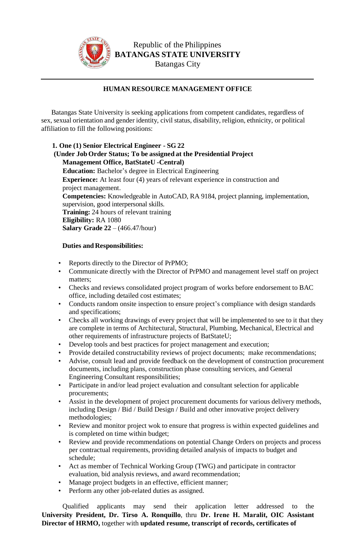

Republic of the Philippines **BATANGAS STATE UNIVERSITY**  Batangas City

## **HUMAN RESOURCE MANAGEMENT OFFICE**

Batangas State University is seeking applications from competent candidates, regardless of sex, sexual orientation and gender identity, civil status, disability, religion, ethnicity, or political affiliation to fill the following positions:

**1. One (1) Senior Electrical Engineer - SG 22 (Under Job Order Status; To be assigned at the Presidential Project Management Office, BatStateU -Central) Education:** Bachelor's degree in Electrical Engineering **Experience:** At least four (4) years of relevant experience in construction and project management. **Competencies:** Knowledgeable in AutoCAD, RA 9184, project planning, implementation, supervision, good interpersonal skills. **Training:** 24 hours of relevant training **Eligibility:** RA 1080 **Salary Grade 22** – (466.47/hour)

## **Duties and Responsibilities:**

- Reports directly to the Director of PrPMO;
- Communicate directly with the Director of PrPMO and management level staff on project matters;
- Checks and reviews consolidated project program of works before endorsement to BAC office, including detailed cost estimates;
- Conducts random onsite inspection to ensure project's compliance with design standards and specifications;
- Checks all working drawings of every project that will be implemented to see to it that they are complete in terms of Architectural, Structural, Plumbing, Mechanical, Electrical and other requirements of infrastructure projects of BatStateU;
- Develop tools and best practices for project management and execution;
- Provide detailed constructability reviews of project documents; make recommendations;
- Advise, consult lead and provide feedback on the development of construction procurement documents, including plans, construction phase consulting services, and General Engineering Consultant responsibilities;
- Participate in and/or lead project evaluation and consultant selection for applicable procurements;
- Assist in the development of project procurement documents for various delivery methods, including Design / Bid / Build Design / Build and other innovative project delivery methodologies;
- Review and monitor project wok to ensure that progress is within expected guidelines and is completed on time within budget;
- Review and provide recommendations on potential Change Orders on projects and process per contractual requirements, providing detailed analysis of impacts to budget and schedule;
- Act as member of Technical Working Group (TWG) and participate in contractor evaluation, bid analysis reviews, and award recommendation;
- Manage project budgets in an effective, efficient manner;
- Perform any other job-related duties as assigned.

Qualified applicants may send their application letter addressed to the **University President, Dr. Tirso A. Ronquillo**, thru **Dr. Irene H. Maralit, OIC Assistant Director of HRMO,** together with **updated resume, transcript of records, certificates of**